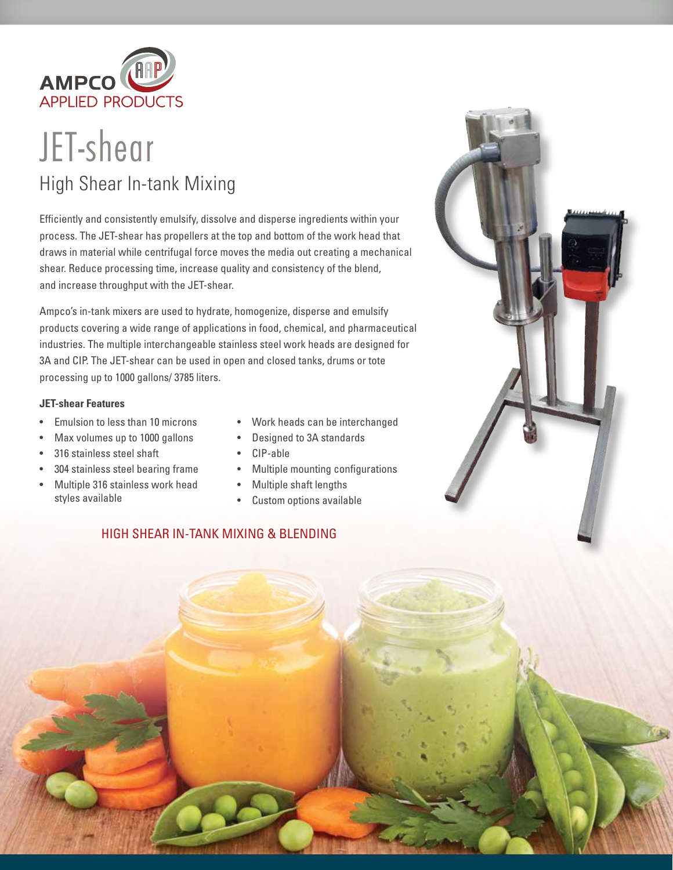

## JET-shear High Shear In-tank Mixing

Efficiently and consistently emulsify, dissolve and disperse ingredients within your process. The JET-shear has propellers at the top and bottom of the work head that draws in material while centrifugal force moves the media out creating a mechanical shear. Reduce processing time, increase quality and consistency of the blend, and increase throughput with the JET-shear.

Ampco's in-tank mixers are used to hydrate, homogenize, disperse and emulsify products covering a wide range of applications in food, chemical, and pharmaceutical industries. The multiple interchangeable stainless steel work heads are designed for 3A and CIP. The JET-shear can be used in open and closed tanks, drums or tote processing up to 1000 gallons/ 3785 liters.

## **JET-shear Features**

- Emulsion to less than 10 microns
- Max volumes up to 1000 gallons
- 316 stainless steel shaft
- 304 stainless steel bearing frame
- Multiple 316 stainless work head styles available
- Work heads can be interchanged
- Designed to 3A standards
- CIP-able
- Multiple mounting configurations
- Multiple shaft lengths
- Custom options available

## HIGH SHEAR IN-TANK MIXING & BLENDING